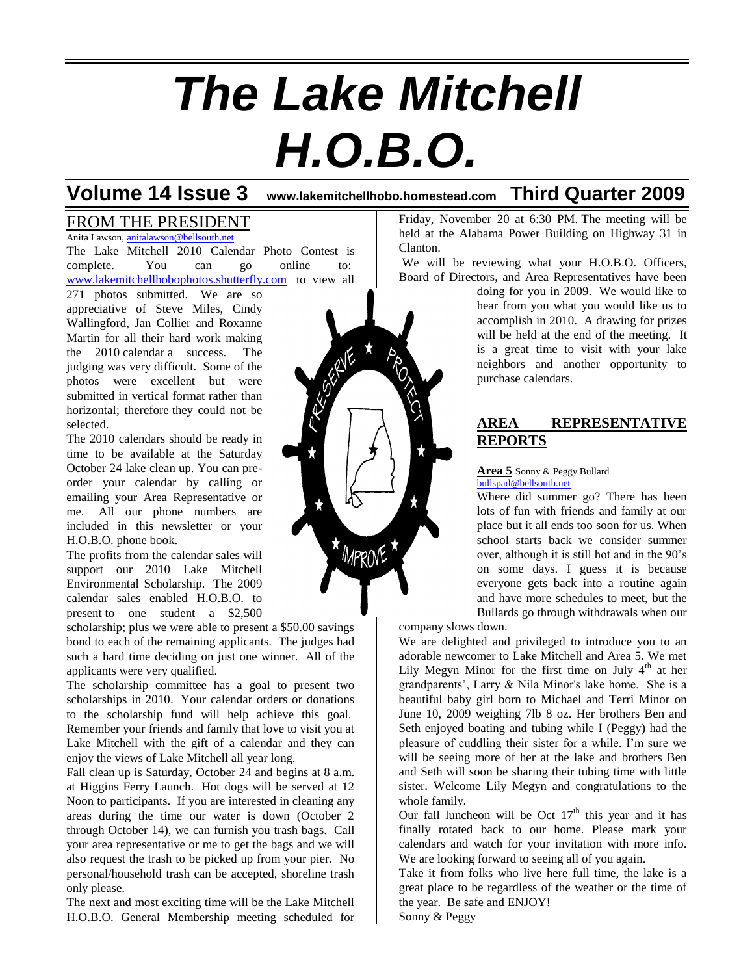# *The Lake Mitchell H.O.B.O.*

**Volume 14 Issue 3 www.lakemitchellhobo.homestead.com Third Quarter 2009**

### FROM THE PRESIDENT

Anita Lawson, [anitalawson@bellsouth.net](mailto:anitalawson@bellsouth.net) The Lake Mitchell 2010 Calendar Photo Contest is complete. You can go online to: [www.lakemitchellhobophotos.shutterfly.com](http://www.lakemitchellhobophotos.shutterfly.com/) to view all

271 photos submitted. We are so appreciative of Steve Miles, Cindy Wallingford, Jan Collier and Roxanne Martin for all their hard work making the 2010 calendar a success. The judging was very difficult. Some of the photos were excellent but were submitted in vertical format rather than horizontal; therefore they could not be selected.

The 2010 calendars should be ready in time to be available at the Saturday October 24 lake clean up. You can preorder your calendar by calling or emailing your Area Representative or me. All our phone numbers are included in this newsletter or your H.O.B.O. phone book.

The profits from the calendar sales will support our 2010 Lake Mitchell Environmental Scholarship. The 2009 calendar sales enabled H.O.B.O. to present to one student a \$2,500

scholarship; plus we were able to present a \$50.00 savings bond to each of the remaining applicants. The judges had such a hard time deciding on just one winner. All of the applicants were very qualified.

The scholarship committee has a goal to present two scholarships in 2010. Your calendar orders or donations to the scholarship fund will help achieve this goal. Remember your friends and family that love to visit you at Lake Mitchell with the gift of a calendar and they can enjoy the views of Lake Mitchell all year long.

Fall clean up is Saturday, October 24 and begins at 8 a.m. at Higgins Ferry Launch. Hot dogs will be served at 12 Noon to participants. If you are interested in cleaning any areas during the time our water is down (October 2 through October 14), we can furnish you trash bags. Call your area representative or me to get the bags and we will also request the trash to be picked up from your pier. No personal/household trash can be accepted, shoreline trash only please.

The next and most exciting time will be the Lake Mitchell H.O.B.O. General Membership meeting scheduled for Friday, November 20 at 6:30 PM. The meeting will be held at the Alabama Power Building on Highway 31 in Clanton.

We will be reviewing what your H.O.B.O. Officers, Board of Directors, and Area Representatives have been

doing for you in 2009. We would like to hear from you what you would like us to accomplish in 2010. A drawing for prizes will be held at the end of the meeting. It is a great time to visit with your lake neighbors and another opportunity to purchase calendars.

### **AREA REPRESENTATIVE REPORTS**

**Area 5** Sonny & Peggy Bullard [bullspad@bellsouth.net](mailto:bullspad@bellsouth.net)

Where did summer go? There has been lots of fun with friends and family at our place but it all ends too soon for us. When school starts back we consider summer over, although it is still hot and in the 90's on some days. I guess it is because everyone gets back into a routine again and have more schedules to meet, but the Bullards go through withdrawals when our

company slows down.

We are delighted and privileged to introduce you to an adorable newcomer to Lake Mitchell and Area 5. We met Lily Megyn Minor for the first time on July  $4<sup>th</sup>$  at her grandparents', Larry & Nila Minor's lake home. She is a beautiful baby girl born to Michael and Terri Minor on June 10, 2009 weighing 7lb 8 oz. Her brothers Ben and Seth enjoyed boating and tubing while I (Peggy) had the pleasure of cuddling their sister for a while. I'm sure we will be seeing more of her at the lake and brothers Ben and Seth will soon be sharing their tubing time with little sister. Welcome Lily Megyn and congratulations to the whole family.

Our fall luncheon will be Oct  $17<sup>th</sup>$  this year and it has finally rotated back to our home. Please mark your calendars and watch for your invitation with more info. We are looking forward to seeing all of you again.

Take it from folks who live here full time, the lake is a great place to be regardless of the weather or the time of the year. Be safe and ENJOY! Sonny & Peggy

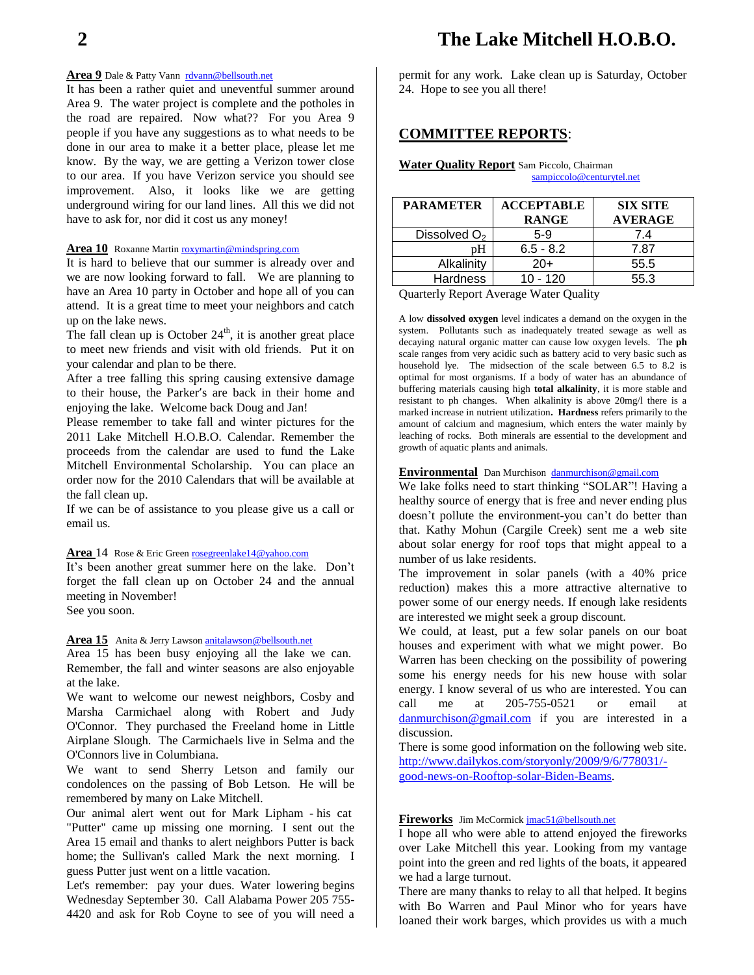### Area 9 Dale & Patty Vann [rdvann@bellsouth.net](mailto:rdvann@bellsouth.net)

It has been a rather quiet and uneventful summer around Area 9. The water project is complete and the potholes in the road are repaired. Now what?? For you Area 9 people if you have any suggestions as to what needs to be done in our area to make it a better place, please let me know. By the way, we are getting a Verizon tower close to our area. If you have Verizon service you should see improvement. Also, it looks like we are getting underground wiring for our land lines. All this we did not have to ask for, nor did it cost us any money!

### **Area 10** Roxanne Marti[n roxymartin@mindspring.com](mailto:roxymartin@mindspring.com)

It is hard to believe that our summer is already over and we are now looking forward to fall. We are planning to have an Area 10 party in October and hope all of you can attend. It is a great time to meet your neighbors and catch up on the lake news.

The fall clean up is October  $24<sup>th</sup>$ , it is another great place to meet new friends and visit with old friends. Put it on your calendar and plan to be there.

After a tree falling this spring causing extensive damage to their house, the Parker's are back in their home and enjoying the lake. Welcome back Doug and Jan!

Please remember to take fall and winter pictures for the 2011 Lake Mitchell H.O.B.O. Calendar. Remember the proceeds from the calendar are used to fund the Lake Mitchell Environmental Scholarship. You can place an order now for the 2010 Calendars that will be available at the fall clean up.

If we can be of assistance to you please give us a call or email us.

#### **Area** 14 Rose & Eric Green [rosegreenlake14@yahoo.com](mailto:rosegreenlake14@yahoo.com)

It's been another great summer here on the lake. Don't forget the fall clean up on October 24 and the annual meeting in November!

See you soon.

### **Area 15** Anita & Jerry Lawson [anitalawson@bellsouth.net](mailto:anitalawson@bellsouth.net)

Area 15 has been busy enjoying all the lake we can. Remember, the fall and winter seasons are also enjoyable at the lake.

We want to welcome our newest neighbors, Cosby and Marsha Carmichael along with Robert and Judy O'Connor. They purchased the Freeland home in Little Airplane Slough. The Carmichaels live in Selma and the O'Connors live in Columbiana.

We want to send Sherry Letson and family our condolences on the passing of Bob Letson. He will be remembered by many on Lake Mitchell.

Our animal alert went out for Mark Lipham - his cat "Putter" came up missing one morning. I sent out the Area 15 email and thanks to alert neighbors Putter is back home; the Sullivan's called Mark the next morning. I guess Putter just went on a little vacation.

Let's remember: pay your dues. Water lowering begins Wednesday September 30. Call Alabama Power 205 755- 4420 and ask for Rob Coyne to see of you will need a

permit for any work. Lake clean up is Saturday, October 24. Hope to see you all there!

### **COMMITTEE REPORTS**:

### **Water Quality Report** Sam Piccolo, Chairman

| sampiccolo@centurytel.net |  |  |  |
|---------------------------|--|--|--|
|                           |  |  |  |

| <b>PARAMETER</b>         | <b>ACCEPTABLE</b><br><b>RANGE</b> | <b>SIX SITE</b><br><b>AVERAGE</b> |  |
|--------------------------|-----------------------------------|-----------------------------------|--|
| Dissolved O <sub>2</sub> | $5-9$                             | 7.4                               |  |
| pН                       | $6.5 - 8.2$                       | 7.87                              |  |
| Alkalinity               | $20+$                             | 55.5                              |  |
| <b>Hardness</b>          | $10 - 120$                        | 55.3                              |  |

Quarterly Report Average Water Quality

A low **dissolved oxygen** level indicates a demand on the oxygen in the system. Pollutants such as inadequately treated sewage as well as decaying natural organic matter can cause low oxygen levels. The **ph** scale ranges from very acidic such as battery acid to very basic such as household lye. The midsection of the scale between 6.5 to 8.2 is optimal for most organisms. If a body of water has an abundance of buffering materials causing high **total alkalinity**, it is more stable and resistant to ph changes. When alkalinity is above 20mg/l there is a marked increase in nutrient utilization**. Hardness** refers primarily to the amount of calcium and magnesium, which enters the water mainly by leaching of rocks. Both minerals are essential to the development and growth of aquatic plants and animals.

### **Environmental** Dan Murchison [danmurchison@gmail.com](mailto:danmurchison@gmail.com)

We lake folks need to start thinking "SOLAR"! Having a healthy source of energy that is free and never ending plus doesn't pollute the environment-you can't do better than that. Kathy Mohun (Cargile Creek) sent me a web site about solar energy for roof tops that might appeal to a number of us lake residents.

The improvement in solar panels (with a 40% price reduction) makes this a more attractive alternative to power some of our energy needs. If enough lake residents are interested we might seek a group discount.

We could, at least, put a few solar panels on our boat houses and experiment with what we might power. Bo Warren has been checking on the possibility of powering some his energy needs for his new house with solar energy. I know several of us who are interested. You can call me at 205-755-0521 or email at [danmurchison@gmail.com](mailto:danmurchison@gmail.com) if you are interested in a discussion.

There is some good information on the following web site. [http://www.dailykos.com/storyonly/2009/9/6/778031/](http://www.dailykos.com/storyonly/2009/9/6/778031/-good-news-on-Rooftop-solar-Biden-Beams) [good-news-on-Rooftop-solar-Biden-Beams.](http://www.dailykos.com/storyonly/2009/9/6/778031/-good-news-on-Rooftop-solar-Biden-Beams)

### **Fireworks** Jim McCormic[k jmac51@bellsouth.net](mailto:jmac51@bellsouth.net)

I hope all who were able to attend enjoyed the fireworks over Lake Mitchell this year. Looking from my vantage point into the green and red lights of the boats, it appeared we had a large turnout.

There are many thanks to relay to all that helped. It begins with Bo Warren and Paul Minor who for years have loaned their work barges, which provides us with a much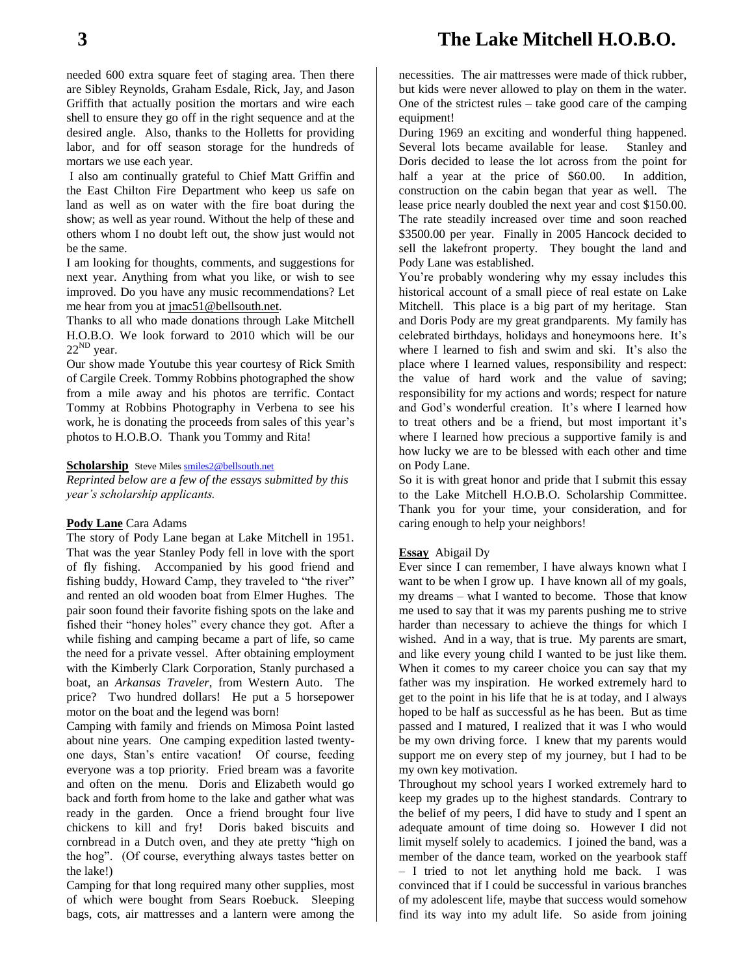needed 600 extra square feet of staging area. Then there are Sibley Reynolds, Graham Esdale, Rick, Jay, and Jason Griffith that actually position the mortars and wire each shell to ensure they go off in the right sequence and at the desired angle. Also, thanks to the Holletts for providing labor, and for off season storage for the hundreds of mortars we use each year.

I also am continually grateful to Chief Matt Griffin and the East Chilton Fire Department who keep us safe on land as well as on water with the fire boat during the show; as well as year round. Without the help of these and others whom I no doubt left out, the show just would not be the same.

I am looking for thoughts, comments, and suggestions for next year. Anything from what you like, or wish to see improved. Do you have any music recommendations? Let me hear from you at [jmac51@bellsouth.net.](mailto:jmac51@bellsouth.net)

Thanks to all who made donations through Lake Mitchell H.O.B.O. We look forward to 2010 which will be our  $22^{ND}$  year.

Our show made Youtube this year courtesy of Rick Smith of Cargile Creek. Tommy Robbins photographed the show from a mile away and his photos are terrific. Contact Tommy at Robbins Photography in Verbena to see his work, he is donating the proceeds from sales of this year's photos to H.O.B.O. Thank you Tommy and Rita!

### **Scholarship** Steve Miles **smiles2@bellsouth.net**

*Reprinted below are a few of the essays submitted by this year's scholarship applicants.*

### **Pody Lane** Cara Adams

The story of Pody Lane began at Lake Mitchell in 1951. That was the year Stanley Pody fell in love with the sport of fly fishing. Accompanied by his good friend and fishing buddy, Howard Camp, they traveled to "the river" and rented an old wooden boat from Elmer Hughes. The pair soon found their favorite fishing spots on the lake and fished their "honey holes" every chance they got. After a while fishing and camping became a part of life, so came the need for a private vessel. After obtaining employment with the Kimberly Clark Corporation, Stanly purchased a boat, an *Arkansas Traveler*, from Western Auto. The price? Two hundred dollars! He put a 5 horsepower motor on the boat and the legend was born!

Camping with family and friends on Mimosa Point lasted about nine years. One camping expedition lasted twentyone days, Stan's entire vacation! Of course, feeding everyone was a top priority. Fried bream was a favorite and often on the menu. Doris and Elizabeth would go back and forth from home to the lake and gather what was ready in the garden. Once a friend brought four live chickens to kill and fry! Doris baked biscuits and cornbread in a Dutch oven, and they ate pretty "high on the hog". (Of course, everything always tastes better on the lake!)

Camping for that long required many other supplies, most of which were bought from Sears Roebuck. Sleeping bags, cots, air mattresses and a lantern were among the necessities. The air mattresses were made of thick rubber, but kids were never allowed to play on them in the water. One of the strictest rules – take good care of the camping equipment!

During 1969 an exciting and wonderful thing happened. Several lots became available for lease. Stanley and Doris decided to lease the lot across from the point for half a year at the price of \$60.00. In addition, construction on the cabin began that year as well. The lease price nearly doubled the next year and cost \$150.00. The rate steadily increased over time and soon reached \$3500.00 per year. Finally in 2005 Hancock decided to sell the lakefront property. They bought the land and Pody Lane was established.

You're probably wondering why my essay includes this historical account of a small piece of real estate on Lake Mitchell. This place is a big part of my heritage. Stan and Doris Pody are my great grandparents. My family has celebrated birthdays, holidays and honeymoons here. It's where I learned to fish and swim and ski. It's also the place where I learned values, responsibility and respect: the value of hard work and the value of saving; responsibility for my actions and words; respect for nature and God's wonderful creation. It's where I learned how to treat others and be a friend, but most important it's where I learned how precious a supportive family is and how lucky we are to be blessed with each other and time on Pody Lane.

So it is with great honor and pride that I submit this essay to the Lake Mitchell H.O.B.O. Scholarship Committee. Thank you for your time, your consideration, and for caring enough to help your neighbors!

### **Essay** Abigail Dy

Ever since I can remember, I have always known what I want to be when I grow up. I have known all of my goals, my dreams – what I wanted to become. Those that know me used to say that it was my parents pushing me to strive harder than necessary to achieve the things for which I wished. And in a way, that is true. My parents are smart, and like every young child I wanted to be just like them. When it comes to my career choice you can say that my father was my inspiration. He worked extremely hard to get to the point in his life that he is at today, and I always hoped to be half as successful as he has been. But as time passed and I matured, I realized that it was I who would be my own driving force. I knew that my parents would support me on every step of my journey, but I had to be my own key motivation.

Throughout my school years I worked extremely hard to keep my grades up to the highest standards. Contrary to the belief of my peers, I did have to study and I spent an adequate amount of time doing so. However I did not limit myself solely to academics. I joined the band, was a member of the dance team, worked on the yearbook staff – I tried to not let anything hold me back. I was convinced that if I could be successful in various branches of my adolescent life, maybe that success would somehow find its way into my adult life. So aside from joining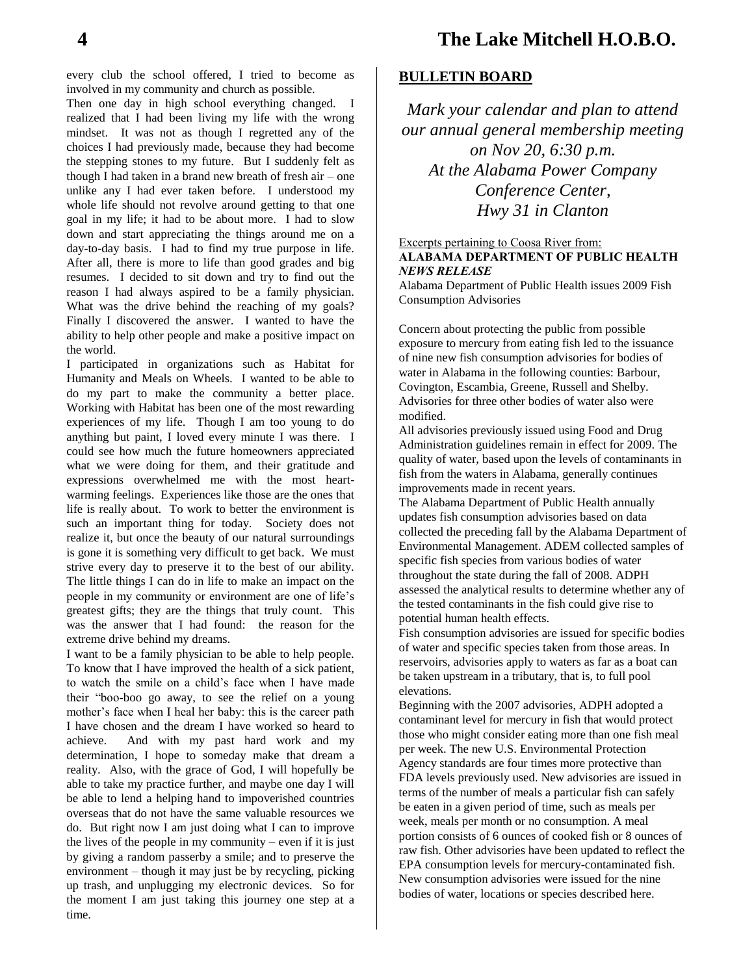every club the school offered, I tried to become as involved in my community and church as possible.

Then one day in high school everything changed. I realized that I had been living my life with the wrong mindset. It was not as though I regretted any of the choices I had previously made, because they had become the stepping stones to my future. But I suddenly felt as though I had taken in a brand new breath of fresh air – one unlike any I had ever taken before. I understood my whole life should not revolve around getting to that one goal in my life; it had to be about more. I had to slow down and start appreciating the things around me on a day-to-day basis. I had to find my true purpose in life. After all, there is more to life than good grades and big resumes. I decided to sit down and try to find out the reason I had always aspired to be a family physician. What was the drive behind the reaching of my goals? Finally I discovered the answer. I wanted to have the ability to help other people and make a positive impact on the world.

I participated in organizations such as Habitat for Humanity and Meals on Wheels. I wanted to be able to do my part to make the community a better place. Working with Habitat has been one of the most rewarding experiences of my life. Though I am too young to do anything but paint, I loved every minute I was there. I could see how much the future homeowners appreciated what we were doing for them, and their gratitude and expressions overwhelmed me with the most heartwarming feelings. Experiences like those are the ones that life is really about. To work to better the environment is such an important thing for today. Society does not realize it, but once the beauty of our natural surroundings is gone it is something very difficult to get back. We must strive every day to preserve it to the best of our ability. The little things I can do in life to make an impact on the people in my community or environment are one of life's greatest gifts; they are the things that truly count. This was the answer that I had found: the reason for the extreme drive behind my dreams.

I want to be a family physician to be able to help people. To know that I have improved the health of a sick patient, to watch the smile on a child's face when I have made their "boo-boo go away, to see the relief on a young mother's face when I heal her baby: this is the career path I have chosen and the dream I have worked so heard to achieve. And with my past hard work and my determination, I hope to someday make that dream a reality. Also, with the grace of God, I will hopefully be able to take my practice further, and maybe one day I will be able to lend a helping hand to impoverished countries overseas that do not have the same valuable resources we do. But right now I am just doing what I can to improve the lives of the people in my community – even if it is just by giving a random passerby a smile; and to preserve the environment – though it may just be by recycling, picking up trash, and unplugging my electronic devices. So for the moment I am just taking this journey one step at a time.

### **BULLETIN BOARD**

*Mark your calendar and plan to attend our annual general membership meeting on Nov 20, 6:30 p.m. At the Alabama Power Company Conference Center, Hwy 31 in Clanton*

### Excerpts pertaining to Coosa River from: **ALABAMA DEPARTMENT OF PUBLIC HEALTH** *NEWS RELEASE*

Alabama Department of Public Health issues 2009 Fish Consumption Advisories

Concern about protecting the public from possible exposure to mercury from eating fish led to the issuance of nine new fish consumption advisories for bodies of water in Alabama in the following counties: Barbour, Covington, Escambia, Greene, Russell and Shelby. Advisories for three other bodies of water also were modified.

All advisories previously issued using Food and Drug Administration guidelines remain in effect for 2009. The quality of water, based upon the levels of contaminants in fish from the waters in Alabama, generally continues improvements made in recent years.

The Alabama Department of Public Health annually updates fish consumption advisories based on data collected the preceding fall by the Alabama Department of Environmental Management. ADEM collected samples of specific fish species from various bodies of water throughout the state during the fall of 2008. ADPH assessed the analytical results to determine whether any of the tested contaminants in the fish could give rise to potential human health effects.

Fish consumption advisories are issued for specific bodies of water and specific species taken from those areas. In reservoirs, advisories apply to waters as far as a boat can be taken upstream in a tributary, that is, to full pool elevations.

Beginning with the 2007 advisories, ADPH adopted a contaminant level for mercury in fish that would protect those who might consider eating more than one fish meal per week. The new U.S. Environmental Protection Agency standards are four times more protective than FDA levels previously used. New advisories are issued in terms of the number of meals a particular fish can safely be eaten in a given period of time, such as meals per week, meals per month or no consumption. A meal portion consists of 6 ounces of cooked fish or 8 ounces of raw fish. Other advisories have been updated to reflect the EPA consumption levels for mercury-contaminated fish. New consumption advisories were issued for the nine bodies of water, locations or species described here.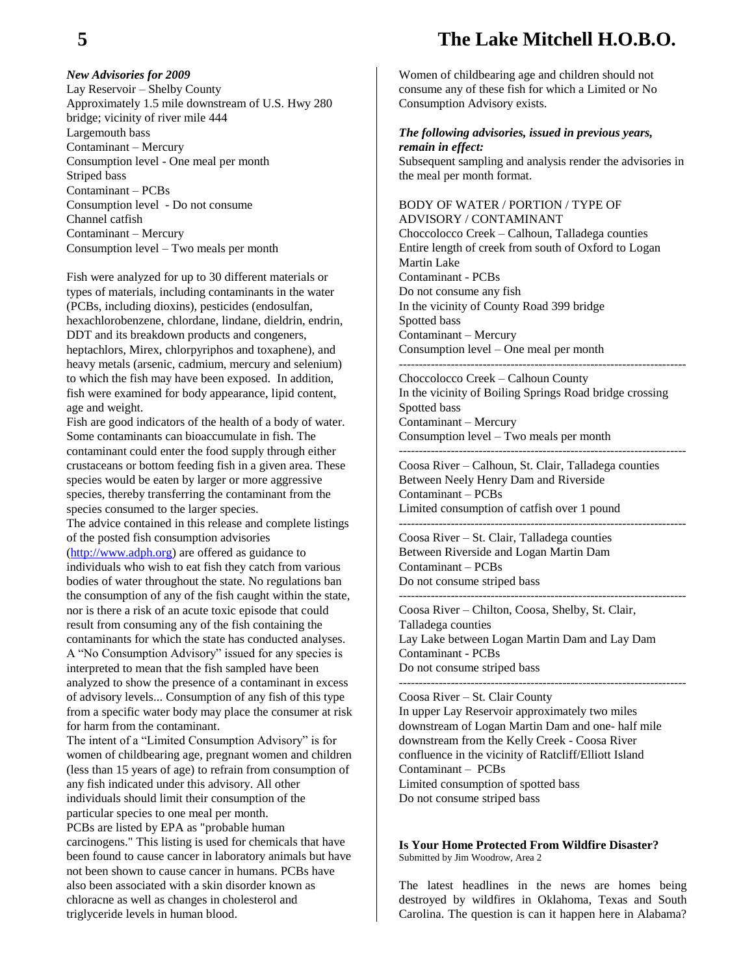## **5 The Lake Mitchell H.O.B.O.**

### *New Advisories for 2009*

Lay Reservoir – Shelby County Approximately 1.5 mile downstream of U.S. Hwy 280 bridge; vicinity of river mile 444 Largemouth bass Contaminant – Mercury Consumption level - One meal per month Striped bass Contaminant – PCBs Consumption level - Do not consume Channel catfish Contaminant – Mercury Consumption level – Two meals per month

Fish were analyzed for up to 30 different materials or types of materials, including contaminants in the water (PCBs, including dioxins), pesticides (endosulfan, hexachlorobenzene, chlordane, lindane, dieldrin, endrin, DDT and its breakdown products and congeners, heptachlors, Mirex, chlorpyriphos and toxaphene), and heavy metals (arsenic, cadmium, mercury and selenium) to which the fish may have been exposed. In addition, fish were examined for body appearance, lipid content, age and weight.

Fish are good indicators of the health of a body of water. Some contaminants can bioaccumulate in fish. The contaminant could enter the food supply through either crustaceans or bottom feeding fish in a given area. These species would be eaten by larger or more aggressive species, thereby transferring the contaminant from the species consumed to the larger species.

The advice contained in this release and complete listings of the posted fish consumption advisories [\(http://www.adph.org\)](http://www.adph.org/) are offered as guidance to individuals who wish to eat fish they catch from various bodies of water throughout the state. No regulations ban the consumption of any of the fish caught within the state, nor is there a risk of an acute toxic episode that could result from consuming any of the fish containing the contaminants for which the state has conducted analyses. A "No Consumption Advisory" issued for any species is interpreted to mean that the fish sampled have been analyzed to show the presence of a contaminant in excess of advisory levels... Consumption of any fish of this type from a specific water body may place the consumer at risk for harm from the contaminant.

The intent of a "Limited Consumption Advisory" is for women of childbearing age, pregnant women and children (less than 15 years of age) to refrain from consumption of any fish indicated under this advisory. All other individuals should limit their consumption of the particular species to one meal per month. PCBs are listed by EPA as "probable human carcinogens." This listing is used for chemicals that have been found to cause cancer in laboratory animals but have not been shown to cause cancer in humans. PCBs have also been associated with a skin disorder known as chloracne as well as changes in cholesterol and triglyceride levels in human blood.

Women of childbearing age and children should not consume any of these fish for which a Limited or No Consumption Advisory exists.

### *The following advisories, issued in previous years, remain in effect:*

Subsequent sampling and analysis render the advisories in the meal per month format.

BODY OF WATER / PORTION / TYPE OF ADVISORY / CONTAMINANT Choccolocco Creek – Calhoun, Talladega counties Entire length of creek from south of Oxford to Logan Martin Lake Contaminant - PCBs Do not consume any fish In the vicinity of County Road 399 bridge Spotted bass Contaminant – Mercury Consumption level – One meal per month ------------------------------------------------------------------------

Choccolocco Creek – Calhoun County In the vicinity of Boiling Springs Road bridge crossing Spotted bass Contaminant – Mercury Consumption level – Two meals per month ------------------------------------------------------------------------

Coosa River – Calhoun, St. Clair, Talladega counties Between Neely Henry Dam and Riverside Contaminant – PCBs Limited consumption of catfish over 1 pound

Coosa River – St. Clair, Talladega counties Between Riverside and Logan Martin Dam Contaminant – PCBs Do not consume striped bass

------------------------------------------------------------------------

Coosa River – Chilton, Coosa, Shelby, St. Clair, Talladega counties Lay Lake between Logan Martin Dam and Lay Dam Contaminant - PCBs Do not consume striped bass ------------------------------------------------------------------------

Coosa River – St. Clair County

------------------------------------------------------------------------

In upper Lay Reservoir approximately two miles downstream of Logan Martin Dam and one- half mile downstream from the Kelly Creek - Coosa River confluence in the vicinity of Ratcliff/Elliott Island Contaminant – PCBs Limited consumption of spotted bass Do not consume striped bass

**Is Your Home Protected From Wildfire Disaster?** Submitted by Jim Woodrow, Area 2

The latest headlines in the news are homes being destroyed by wildfires in Oklahoma, Texas and South Carolina. The question is can it happen here in Alabama?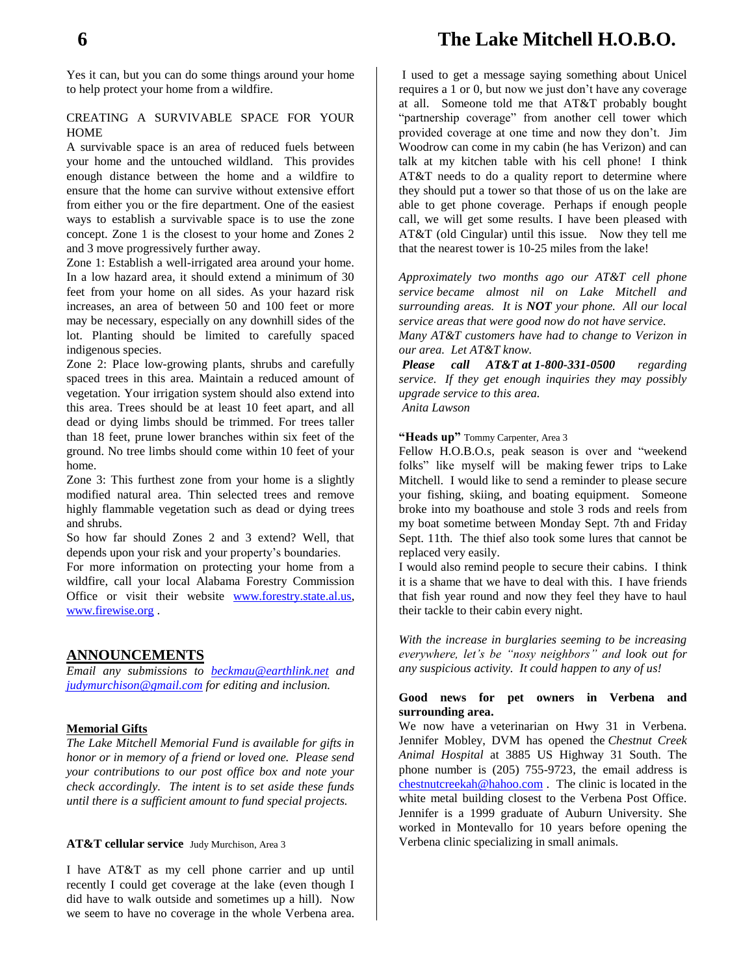Yes it can, but you can do some things around your home to help protect your home from a wildfire.

### CREATING A SURVIVABLE SPACE FOR YOUR HOME

A survivable space is an area of reduced fuels between your home and the untouched wildland. This provides enough distance between the home and a wildfire to ensure that the home can survive without extensive effort from either you or the fire department. One of the easiest ways to establish a survivable space is to use the zone concept. Zone 1 is the closest to your home and Zones 2 and 3 move progressively further away.

Zone 1: Establish a well-irrigated area around your home. In a low hazard area, it should extend a minimum of 30 feet from your home on all sides. As your hazard risk increases, an area of between 50 and 100 feet or more may be necessary, especially on any downhill sides of the lot. Planting should be limited to carefully spaced indigenous species.

Zone 2: Place low-growing plants, shrubs and carefully spaced trees in this area. Maintain a reduced amount of vegetation. Your irrigation system should also extend into this area. Trees should be at least 10 feet apart, and all dead or dying limbs should be trimmed. For trees taller than 18 feet, prune lower branches within six feet of the ground. No tree limbs should come within 10 feet of your home.

Zone 3: This furthest zone from your home is a slightly modified natural area. Thin selected trees and remove highly flammable vegetation such as dead or dying trees and shrubs.

So how far should Zones 2 and 3 extend? Well, that depends upon your risk and your property's boundaries.

For more information on protecting your home from a wildfire, call your local Alabama Forestry Commission Office or visit their website [www.forestry.state.al.us,](http://www.forestry.state.al.us/) [www.firewise.org](http://www.firewise.org/) .

### **ANNOUNCEMENTS**

*Email any submissions to [beckmau@earthlink.net](mailto:beckmau@earthlink.net) and [judymurchison@gmail.com](mailto:judymurchison@gmail.com) for editing and inclusion.*

### **Memorial Gifts**

*The Lake Mitchell Memorial Fund is available for gifts in honor or in memory of a friend or loved one. Please send your contributions to our post office box and note your check accordingly. The intent is to set aside these funds until there is a sufficient amount to fund special projects.*

**AT&T cellular service** Judy Murchison, Area 3

I have AT&T as my cell phone carrier and up until recently I could get coverage at the lake (even though I did have to walk outside and sometimes up a hill). Now we seem to have no coverage in the whole Verbena area.

I used to get a message saying something about Unicel requires a 1 or 0, but now we just don't have any coverage at all. Someone told me that AT&T probably bought "partnership coverage" from another cell tower which provided coverage at one time and now they don't. Jim Woodrow can come in my cabin (he has Verizon) and can talk at my kitchen table with his cell phone! I think AT&T needs to do a quality report to determine where they should put a tower so that those of us on the lake are able to get phone coverage. Perhaps if enough people call, we will get some results. I have been pleased with AT&T (old Cingular) until this issue. Now they tell me that the nearest tower is 10-25 miles from the lake!

*Approximately two months ago our AT&T cell phone service became almost nil on Lake Mitchell and surrounding areas. It is NOT your phone. All our local service areas that were good now do not have service.*

*Many AT&T customers have had to change to Verizon in our area. Let AT&T know.*

*Please call AT&T at 1-800-331-0500 regarding service. If they get enough inquiries they may possibly upgrade service to this area. Anita Lawson*

"Heads up" Tommy Carpenter, Area 3

Fellow H.O.B.O.s, peak season is over and "weekend folks" like myself will be making fewer trips to Lake Mitchell. I would like to send a reminder to please secure your fishing, skiing, and boating equipment. Someone broke into my boathouse and stole 3 rods and reels from my boat sometime between Monday Sept. 7th and Friday Sept. 11th. The thief also took some lures that cannot be replaced very easily.

I would also remind people to secure their cabins. I think it is a shame that we have to deal with this. I have friends that fish year round and now they feel they have to haul their tackle to their cabin every night.

*With the increase in burglaries seeming to be increasing everywhere, let's be "nosy neighbors" and look out for any suspicious activity. It could happen to any of us!*

### **Good news for pet owners in Verbena and surrounding area.**

We now have a veterinarian on Hwy 31 in Verbena. Jennifer Mobley, DVM has opened the *Chestnut Creek Animal Hospital* at 3885 US Highway 31 South. The phone number is (205) 755-9723, the email address is [chestnutcreekah@hahoo.com](mailto:chestnutcreekah@hahoo.com) . The clinic is located in the white metal building closest to the Verbena Post Office. Jennifer is a 1999 graduate of Auburn University. She worked in Montevallo for 10 years before opening the Verbena clinic specializing in small animals.